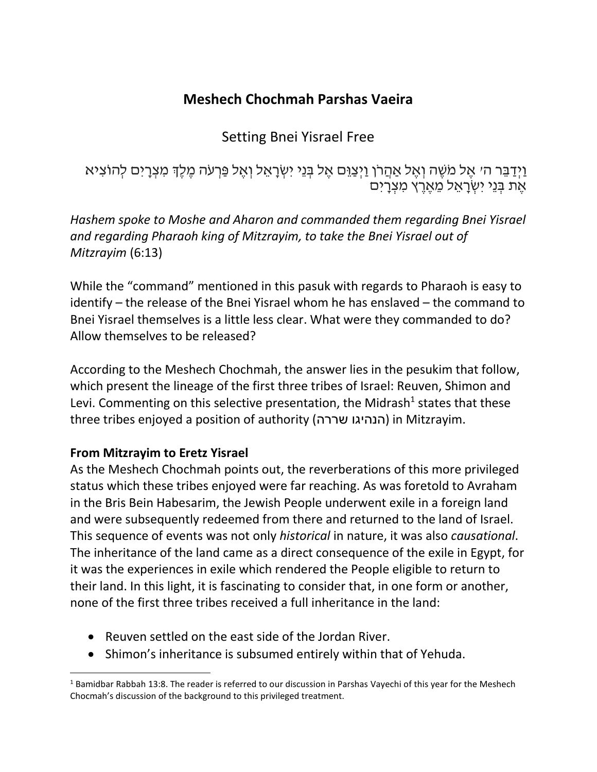## **Meshech Chochmah Parshas Vaeira**

Setting Bnei Yisrael Free

וַיְדַבֵּר ה׳ אֱל מֹשֶׁה וְאֵל אַהֲרֹן וַיִּצַוֵּם אֱל בְּנֵי יִשְׂרָאֱל וְאֵל פַּרְעֹה מֶלֶךְ מִצְרָיִם לְהוֹצִיא אֶת בְּנֵי יִשְׂרָאֱל מֵאֱרֶץ מִצְרָיִם

*Hashem spoke to Moshe and Aharon and commanded them regarding Bnei Yisrael and regarding Pharaoh king of Mitzrayim, to take the Bnei Yisrael out of Mitzrayim* (6:13)

While the "command" mentioned in this pasuk with regards to Pharaoh is easy to identify – the release of the Bnei Yisrael whom he has enslaved – the command to Bnei Yisrael themselves is a little less clear. What were they commanded to do? Allow themselves to be released?

According to the Meshech Chochmah, the answer lies in the pesukim that follow, which present the lineage of the first three tribes of Israel: Reuven, Shimon and Levi. Commenting on this selective presentation, the Midrash<sup>1</sup> states that these three tribes enjoyed a position of authority (שררה הנהיגו (in Mitzrayim.

### **From Mitzrayim to Eretz Yisrael**

As the Meshech Chochmah points out, the reverberations of this more privileged status which these tribes enjoyed were far reaching. As was foretold to Avraham in the Bris Bein Habesarim, the Jewish People underwent exile in a foreign land and were subsequently redeemed from there and returned to the land of Israel. This sequence of events was not only *historical* in nature, it was also *causational*. The inheritance of the land came as a direct consequence of the exile in Egypt, for it was the experiences in exile which rendered the People eligible to return to their land. In this light, it is fascinating to consider that, in one form or another, none of the first three tribes received a full inheritance in the land:

- Reuven settled on the east side of the Jordan River.
- Shimon's inheritance is subsumed entirely within that of Yehuda.

l  $1$  Bamidbar Rabbah 13:8. The reader is referred to our discussion in Parshas Vayechi of this year for the Meshech Chocmah's discussion of the background to this privileged treatment.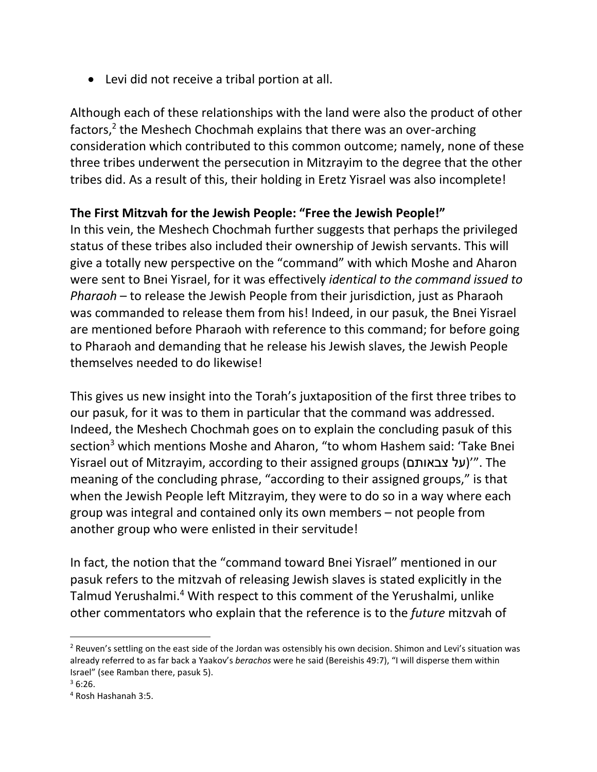Levi did not receive a tribal portion at all.

Although each of these relationships with the land were also the product of other factors,<sup>2</sup> the Meshech Chochmah explains that there was an over-arching consideration which contributed to this common outcome; namely, none of these three tribes underwent the persecution in Mitzrayim to the degree that the other tribes did. As a result of this, their holding in Eretz Yisrael was also incomplete!

#### **The First Mitzvah for the Jewish People: "Free the Jewish People!"**

In this vein, the Meshech Chochmah further suggests that perhaps the privileged status of these tribes also included their ownership of Jewish servants. This will give a totally new perspective on the "command" with which Moshe and Aharon were sent to Bnei Yisrael, for it was effectively *identical to the command issued to Pharaoh* – to release the Jewish People from their jurisdiction, just as Pharaoh was commanded to release them from his! Indeed, in our pasuk, the Bnei Yisrael are mentioned before Pharaoh with reference to this command; for before going to Pharaoh and demanding that he release his Jewish slaves, the Jewish People themselves needed to do likewise!

This gives us new insight into the Torah's juxtaposition of the first three tribes to our pasuk, for it was to them in particular that the command was addressed. Indeed, the Meshech Chochmah goes on to explain the concluding pasuk of this section<sup>3</sup> which mentions Moshe and Aharon, "to whom Hashem said: 'Take Bnei Yisrael out of Mitzrayim, according to their assigned groups (צבאותם על"'(. The meaning of the concluding phrase, "according to their assigned groups," is that when the Jewish People left Mitzrayim, they were to do so in a way where each group was integral and contained only its own members – not people from another group who were enlisted in their servitude!

In fact, the notion that the "command toward Bnei Yisrael" mentioned in our pasuk refers to the mitzvah of releasing Jewish slaves is stated explicitly in the Talmud Yerushalmi.<sup>4</sup> With respect to this comment of the Yerushalmi, unlike other commentators who explain that the reference is to the *future* mitzvah of

l

 $2$  Reuven's settling on the east side of the Jordan was ostensibly his own decision. Shimon and Levi's situation was already referred to as far back a Yaakov's *berachos* were he said (Bereishis 49:7), "I will disperse them within Israel" (see Ramban there, pasuk 5).

 $36:26$ .

<sup>4</sup> Rosh Hashanah 3:5.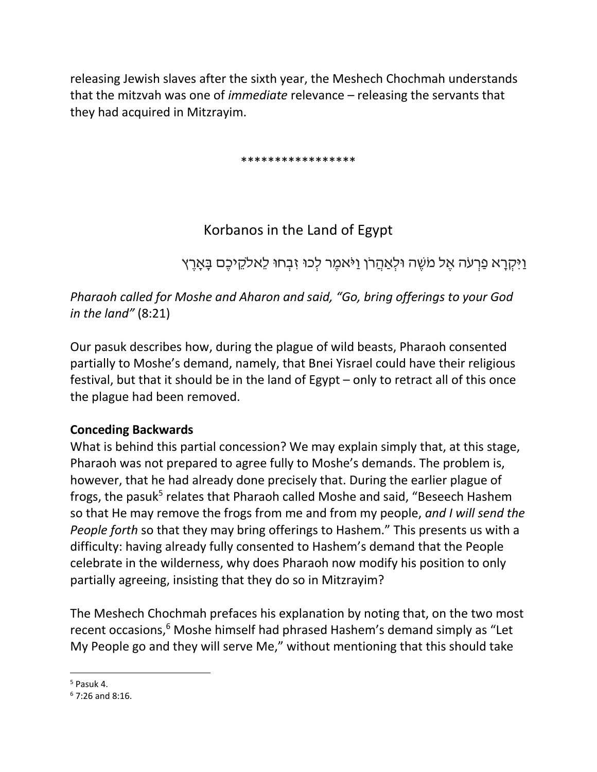releasing Jewish slaves after the sixth year, the Meshech Chochmah understands that the mitzvah was one of *immediate* relevance – releasing the servants that they had acquired in Mitzrayim.

\*\*\*\*\*\*\*\*\*\*\*\*\*\*\*\*\*

# Korbanos in the Land of Egypt

וַיִּקְרַא פַרְעֹה אֵל מֹשֶׁה וּלִאַהֲרֹן וַיֹּאמֶר לִכוּ זִבְחוּ לֵאלקֵיכֶם בָּאָרֶץ

*Pharaoh called for Moshe and Aharon and said, "Go, bring offerings to your God in the land"* (8:21)

Our pasuk describes how, during the plague of wild beasts, Pharaoh consented partially to Moshe's demand, namely, that Bnei Yisrael could have their religious festival, but that it should be in the land of Egypt – only to retract all of this once the plague had been removed.

## **Conceding Backwards**

What is behind this partial concession? We may explain simply that, at this stage, Pharaoh was not prepared to agree fully to Moshe's demands. The problem is, however, that he had already done precisely that. During the earlier plague of frogs, the pasuk<sup>5</sup> relates that Pharaoh called Moshe and said, "Beseech Hashem so that He may remove the frogs from me and from my people, *and I will send the People forth* so that they may bring offerings to Hashem." This presents us with a difficulty: having already fully consented to Hashem's demand that the People celebrate in the wilderness, why does Pharaoh now modify his position to only partially agreeing, insisting that they do so in Mitzrayim?

The Meshech Chochmah prefaces his explanation by noting that, on the two most recent occasions,<sup>6</sup> Moshe himself had phrased Hashem's demand simply as "Let My People go and they will serve Me," without mentioning that this should take

l  $5$  Pasuk 4.

 $6$  7:26 and 8:16.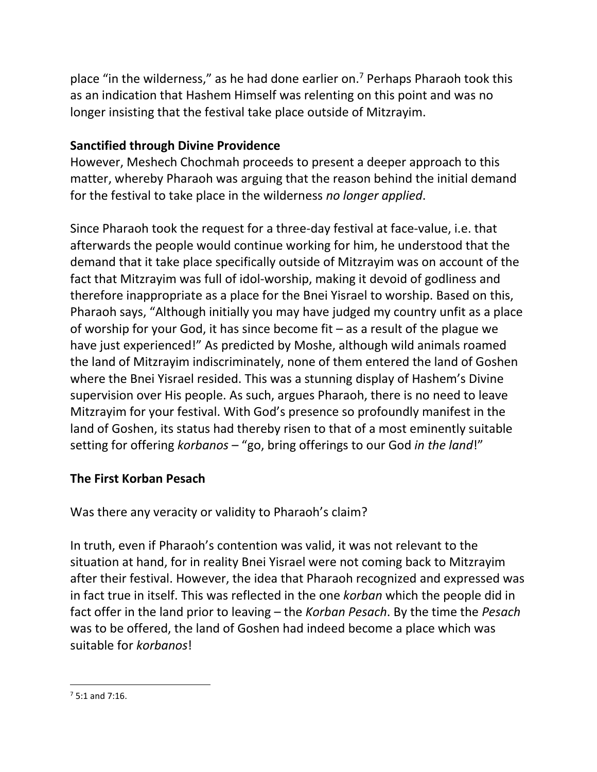place "in the wilderness," as he had done earlier on. $<sup>7</sup>$  Perhaps Pharaoh took this</sup> as an indication that Hashem Himself was relenting on this point and was no longer insisting that the festival take place outside of Mitzrayim.

### **Sanctified through Divine Providence**

However, Meshech Chochmah proceeds to present a deeper approach to this matter, whereby Pharaoh was arguing that the reason behind the initial demand for the festival to take place in the wilderness *no longer applied*.

Since Pharaoh took the request for a three-day festival at face-value, i.e. that afterwards the people would continue working for him, he understood that the demand that it take place specifically outside of Mitzrayim was on account of the fact that Mitzrayim was full of idol-worship, making it devoid of godliness and therefore inappropriate as a place for the Bnei Yisrael to worship. Based on this, Pharaoh says, "Although initially you may have judged my country unfit as a place of worship for your God, it has since become fit – as a result of the plague we have just experienced!" As predicted by Moshe, although wild animals roamed the land of Mitzrayim indiscriminately, none of them entered the land of Goshen where the Bnei Yisrael resided. This was a stunning display of Hashem's Divine supervision over His people. As such, argues Pharaoh, there is no need to leave Mitzrayim for your festival. With God's presence so profoundly manifest in the land of Goshen, its status had thereby risen to that of a most eminently suitable setting for offering *korbanos* – "go, bring offerings to our God *in the land*!"

## **The First Korban Pesach**

Was there any veracity or validity to Pharaoh's claim?

In truth, even if Pharaoh's contention was valid, it was not relevant to the situation at hand, for in reality Bnei Yisrael were not coming back to Mitzrayim after their festival. However, the idea that Pharaoh recognized and expressed was in fact true in itself. This was reflected in the one *korban* which the people did in fact offer in the land prior to leaving – the *Korban Pesach*. By the time the *Pesach* was to be offered, the land of Goshen had indeed become a place which was suitable for *korbanos*!

 $\overline{\phantom{a}}$ 

 $75.1$  and  $7.16$ .